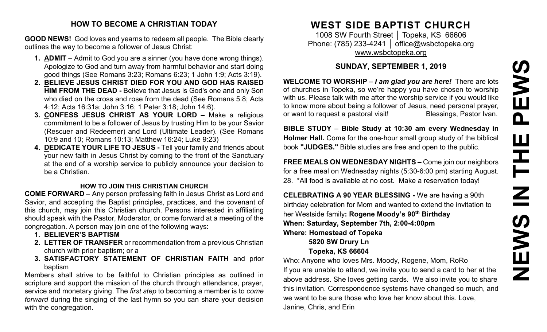# PEWS **NEWS IN THE PEWS**HH<br>N<br>N ME Z

# **HOW TO BECOME A CHRISTIAN TODAY**

**GOOD NEWS!** God loves and yearns to redeem all people. The Bible clearly outlines the way to become a follower of Jesus Christ:

- **1. ADMIT** Admit to God you are a sinner (you have done wrong things). Apologize to God and turn away from harmful behavior and start doing good things (See Romans 3:23; Romans 6:23; 1 John 1:9; Acts 3:19).
- **2. BELIEVE JESUS CHRIST DIED FOR YOU AND GOD HAS RAISED HIM FROM THE DEAD -** Believe that Jesus is God's one and only Son who died on the cross and rose from the dead (See Romans 5:8; Acts 4:12; Acts 16:31a; John 3:16; 1 Peter 3:18; John 14:6).
- **3. CONFESS JESUS CHRIST AS YOUR LORD –** Make a religious commitment to be a follower of Jesus by trusting Him to be your Savior (Rescuer and Redeemer) and Lord (Ultimate Leader). (See Romans 10:9 and 10; Romans 10:13; Matthew 16:24; Luke 9:23)
- **4. DEDICATE YOUR LIFE TO JESUS -** Tell your family and friends about your new faith in Jesus Christ by coming to the front of the Sanctuary at the end of a worship service to publicly announce your decision to be a Christian.

# **HOW TO JOIN THIS CHRISTIAN CHURCH**

**COME FORWARD** – Any person professing faith in Jesus Christ as Lord and Savior, and accepting the Baptist principles, practices, and the covenant of this church, may join this Christian church. Persons interested in affiliating should speak with the Pastor, Moderator, or come forward at a meeting of the congregation. A person may join one of the following ways:

- **1. BELIEVER'S BAPTISM**
- **2. LETTER OF TRANSFER** or recommendation from a previous Christian church with prior baptism; or a
- **3. SATISFACTORY STATEMENT OF CHRISTIAN FAITH** and prior baptism

Members shall strive to be faithful to Christian principles as outlined in scripture and support the mission of the church through attendance, prayer, service and monetary giving. The *first step* to becoming a member is to *come forward* during the singing of the last hymn so you can share your decision with the congregation.

# **WEST SIDE BAPTIST CHURCH**

1008 SW Fourth Street | Topeka, KS 66606 Phone: (785) 233-4241 │ [office@wsbctopeka.org](mailto:office@wsbctopeka.org) [www.wsbctopeka.org](http://www.wsbctopeka.org/)

# **SUNDAY, SEPTEMBER 1, 2019**

**WELCOME TO WORSHIP –** *I am glad you are here!* There are lots of churches in Topeka, so we're happy you have chosen to worship with us. Please talk with me after the worship service if you would like to know more about being a follower of Jesus, need personal prayer, or want to request a pastoral visit!<br>
Blessings, Pastor Ivan.

**BIBLE STUDY** – **Bible Study at 10:30 am every Wednesday in Holmer Hall.** Come for the one-hour small group study of the biblical book **"JUDGES."** Bible studies are free and open to the public.

**FREE MEALS ON WEDNESDAY NIGHTS –** Come join our neighbors for a free meal on Wednesday nights (5:30-6:00 pm) starting August. 28. \*All food is available at no cost. Make a reservation today!

**CELEBRATING A 90 YEAR BLESSING -** We are having a 90th birthday celebration for Mom and wanted to extend the invitation to her Westside family**: Rogene Moody's 90th Birthday When: Saturday, September 7th, 2:00-4:00pm Where: Homestead of Topeka 5820 SW Drury Ln**

# **Topeka, KS 66604**

Who: Anyone who loves Mrs. Moody, Rogene, Mom, RoRo If you are unable to attend, we invite you to send a card to her at the above address. She loves getting cards. We also invite you to share this invitation. Correspondence systems have changed so much, and we want to be sure those who love her know about this. Love, Janine, Chris, and Erin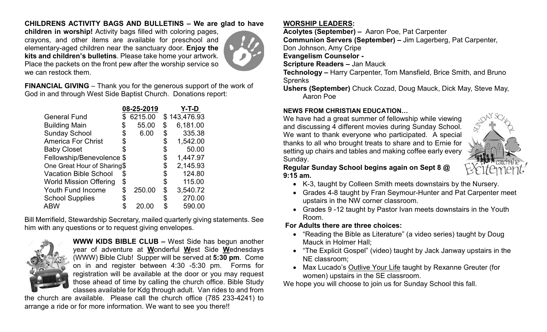# **CHILDRENS ACTIVITY BAGS AND BULLETINS – We are glad to have**

**children in worship!** Activity bags filled with coloring pages, crayons, and other items are available for preschool and elementary-aged children near the sanctuary door. **Enjoy the kits and children's bulletins**. Please take home your artwork. Place the packets on the front pew after the worship service so we can restock them.



**FINANCIAL GIVING** – Thank you for the generous support of the work of God in and through West Side Baptist Church. Donations report:

|                               | 08-25-2019   |    | Y-T-D        |
|-------------------------------|--------------|----|--------------|
| <b>General Fund</b>           | 6215.00      |    | \$143,476.93 |
| <b>Building Main</b>          | 55.00        | \$ | 6,181.00     |
| <b>Sunday School</b>          | \$<br>6.00   | \$ | 335.38       |
| <b>America For Christ</b>     | \$           | \$ | 1,542.00     |
| <b>Baby Closet</b>            |              | \$ | 50.00        |
| Fellowship/Benevolence \$     |              | \$ | 1,447.97     |
| One Great Hour of Sharing\$   |              | \$ | 2,145.93     |
| <b>Vacation Bible School</b>  | \$           | \$ | 124.80       |
| <b>World Mission Offering</b> | \$           | \$ | 115.00       |
| <b>Youth Fund Income</b>      | \$<br>250.00 | \$ | 3,540.72     |
| <b>School Supplies</b>        |              | S  | 270.00       |
| <b>ABW</b>                    | 20.00        | \$ | 590.00       |

Bill Merrifield, Stewardship Secretary, mailed quarterly giving statements. See him with any questions or to request giving envelopes.



**WWW KIDS BIBLE CLUB –** West Side has begun another year of adventure at **W**onderful **W**est Side **W**ednesdays (WWW) Bible Club! Supper will be served at **5:30 pm**. Come on in and register between 4:30 -5:30 pm. Forms for registration will be available at the door or you may request those ahead of time by calling the church office. Bible Study classes available for Kdg through adult. Van rides to and from

the church are available. Please call the church office (785 233-4241) to arrange a ride or for more information. We want to see you there!!

## **WORSHIP LEADERS:**

**Acolytes (September) –** Aaron Poe, Pat Carpenter

**Communion Servers (September) –** Jim Lagerberg, Pat Carpenter,

Don Johnson, Amy Cripe

**Evangelism Counselor -**

**Scripture Readers –** Jan Mauck

**Technology –** Harry Carpenter, Tom Mansfield, Brice Smith, and Bruno Sprenks

**Ushers (September)** Chuck Cozad, Doug Mauck, Dick May, Steve May, Aaron Poe

#### **NEWS FROM CHRISTIAN EDUCATION…**

We have had a great summer of fellowship while viewing and discussing 4 different movies during Sunday School. We want to thank everyone who participated. A special thanks to all who brought treats to share and to Ernie for setting up chairs and tables and making coffee early every Sunday.



**Regular Sunday School begins again on Sept 8 @ 9:15 am.** 

- K-3, taught by Colleen Smith meets downstairs by the Nursery.
- Grades 4-8 taught by Fran Seymour-Hunter and Pat Carpenter meet upstairs in the NW corner classroom.
- Grades 9 -12 taught by Pastor Ivan meets downstairs in the Youth Room.

## **For Adults there are three choices:**

- "Reading the Bible as Literature" (a video series) taught by Doug Mauck in Holmer Hall;
- "The Explicit Gospel" (video) taught by Jack Janway upstairs in the NE classroom;
- Max Lucado's Outlive Your Life taught by Rexanne Greuter (for women) upstairs in the SE classroom.

We hope you will choose to join us for Sunday School this fall.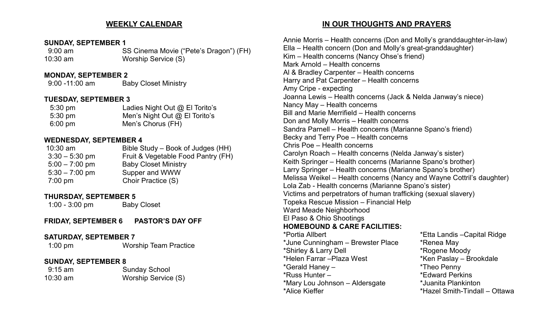#### **WEEKLY CALENDAR**

#### **SUNDAY, SEPTEMBER 1**

9:00 am SS Cinema Movie ("Pete's Dragon") (FH) 10:30 am Worship Service (S)

#### **MONDAY, SEPTEMBER 2**

9:00 -11:00 am Baby Closet Ministry

#### **TUESDAY, SEPTEMBER 3**

| $5:30 \text{ pm}$ | Ladies Night Out @ El Torito's  |
|-------------------|---------------------------------|
| $5:30 \text{ pm}$ | Men's Night Out $@$ El Torito's |
| $6:00 \text{ pm}$ | Men's Chorus (FH)               |

#### **WEDNESDAY, SEPTEMBER 4**

| $10:30$ am        | Bible Study – Book of Judges (HH)  |
|-------------------|------------------------------------|
| $3:30 - 5:30$ pm  | Fruit & Vegetable Food Pantry (FH) |
| $5:00 - 7:00$ pm  | <b>Baby Closet Ministry</b>        |
| $5:30 - 7:00$ pm  | Supper and WWW                     |
| $7:00 \text{ pm}$ | Choir Practice (S)                 |
|                   |                                    |

#### **THURSDAY, SEPTEMBER 5**

1:00 - 3:00 pm Baby Closet

**FRIDAY, SEPTEMBER 6 PASTOR'S DAY OFF**

#### **SATURDAY, SEPTEMBER 7**

1:00 pm Worship Team Practice

#### **SUNDAY, SEPTEMBER 8**

| $9:15$ am  | <b>Sunday School</b> |
|------------|----------------------|
| $10:30$ am | Worship Service (S)  |

#### **IN OUR THOUGHTS AND PRAYERS**

Annie Morris – Health concerns (Don and Molly's granddaughter-in-law) Ella – Health concern (Don and Molly's great-granddaughter) Kim – Health concerns (Nancy Ohse's friend) Mark Arnold – Health concerns Al & Bradley Carpenter – Health concerns Harry and Pat Carpenter – Health concerns Amy Cripe - expecting Joanna Lewis – Health concerns (Jack & Nelda Janway's niece) Nancy May – Health concerns Bill and Marie Merrifield – Health concerns Don and Molly Morris – Health concerns Sandra Parnell – Health concerns (Marianne Spano's friend) Becky and Terry Poe – Health concerns Chris Poe – Health concerns Carolyn Roach – Health concerns (Nelda Janway's sister) Keith Springer – Health concerns (Marianne Spano's brother) Larry Springer – Health concerns (Marianne Spano's brother) Melissa Weikel – Health concerns (Nancy and Wayne Cottril's daughter) Lola Zab - Health concerns (Marianne Spano's sister) Victims and perpetrators of human trafficking (sexual slavery) Topeka Rescue Mission – Financial Help Ward Meade Neighborhood El Paso & Ohio Shootings **HOMEBOUND & CARE FACILITIES:**  \*Portia Allbert \*Etta Landis –Capital Ridge \*June Cunningham – Brewster Place \*Renea May \*Shirley & Larry Dell \*Helen Farrar –Plaza West \*Ken Paslay – Brookdale \*Gerald Haney – \*Theo Penny \*Edward Perkins \*Mary Lou Johnson – Aldersgate \*Juanita Plankinton \*Hazel Smith-Tindall – Ottawa